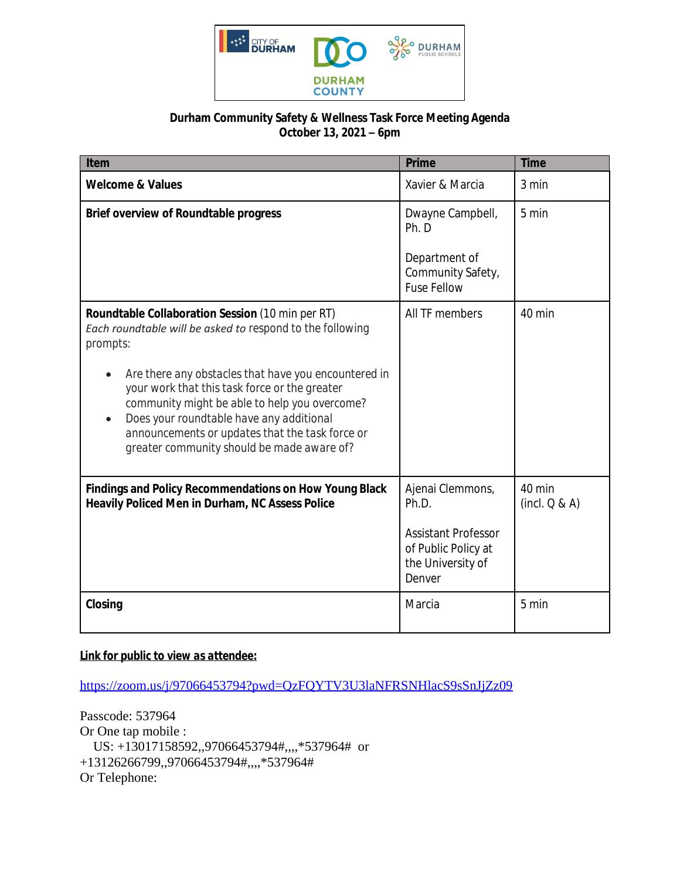

## **Durham Community Safety & Wellness Task Force Meeting Agenda October 13, 2021 – 6pm**

| Item                                                                                                                                                                                                                                                                                                             | Prime                                                                            | <b>Time</b>             |
|------------------------------------------------------------------------------------------------------------------------------------------------------------------------------------------------------------------------------------------------------------------------------------------------------------------|----------------------------------------------------------------------------------|-------------------------|
| <b>Welcome &amp; Values</b>                                                                                                                                                                                                                                                                                      | Xavier & Marcia                                                                  | 3 min                   |
| <b>Brief overview of Roundtable progress</b>                                                                                                                                                                                                                                                                     | Dwayne Campbell,<br>Ph. D                                                        | 5 min                   |
|                                                                                                                                                                                                                                                                                                                  | Department of<br>Community Safety,<br><b>Fuse Fellow</b>                         |                         |
| <b>Roundtable Collaboration Session</b> (10 min per RT)<br>Each roundtable will be asked to respond to the following<br>prompts:                                                                                                                                                                                 | All TF members                                                                   | 40 min                  |
| Are there any obstacles that have you encountered in<br>your work that this task force or the greater<br>community might be able to help you overcome?<br>Does your roundtable have any additional<br>$\bullet$<br>announcements or updates that the task force or<br>greater community should be made aware of? |                                                                                  |                         |
| <b>Findings and Policy Recommendations on How Young Black</b><br>Heavily Policed Men in Durham, NC Assess Police                                                                                                                                                                                                 | Ajenai Clemmons,<br>Ph.D.                                                        | 40 min<br>(incl. Q & A) |
|                                                                                                                                                                                                                                                                                                                  | <b>Assistant Professor</b><br>of Public Policy at<br>the University of<br>Denver |                         |
| Closing                                                                                                                                                                                                                                                                                                          | Marcia                                                                           | 5 min                   |

## *Link for public to view as attendee:*

<https://zoom.us/j/97066453794?pwd=QzFQYTV3U3laNFRSNHlacS9sSnJjZz09>

Passcode: 537964 Or One tap mobile : US: +13017158592,,97066453794#,,,,\*537964# or +13126266799,,97066453794#,,,,\*537964# Or Telephone: